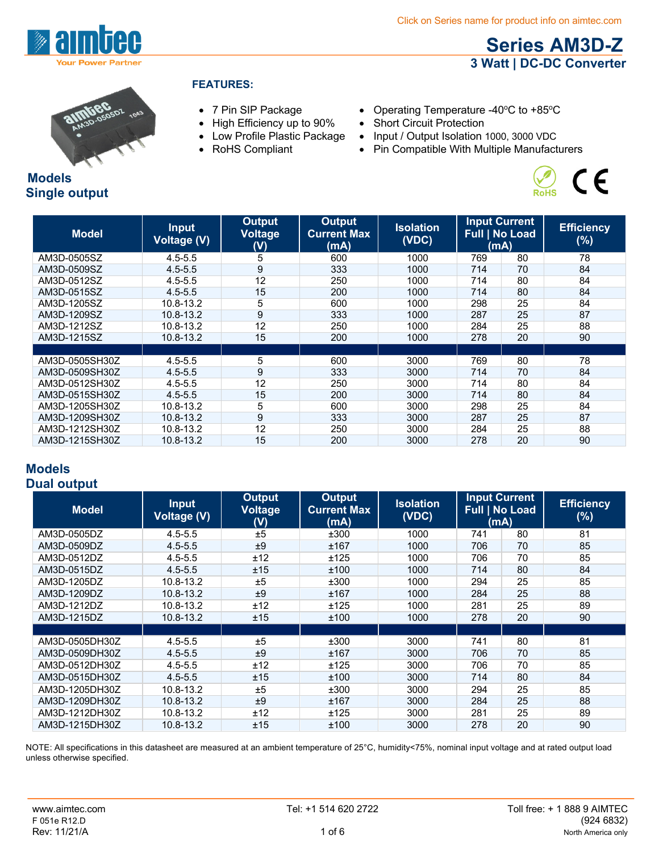

**Models**

**Single output**

### **FEATURES:**

- 
- High Efficiency up to 90% Short Circuit Protection
- 
- 
- 7 Pin SIP Package Operating Temperature -40°C to +85°C
	-
- Low Profile Plastic Package Input / Output Isolation 1000, 3000 VDC
- RoHS Compliant Pin Compatible With Multiple Manufacturers



**Series AM3D-Z 3 Watt | DC-DC Converter**

| <b>Model</b>   | <b>Input</b><br><b>Voltage (V)</b> | Output<br><b>Voltage</b><br>(V) | Output<br><b>Current Max</b><br>(mA) | <b>Isolation</b><br>(VDC) | <b>Input Current</b><br><b>Full   No Load</b><br>(mA) |    | <b>Efficiency</b><br>$(\%)$ |
|----------------|------------------------------------|---------------------------------|--------------------------------------|---------------------------|-------------------------------------------------------|----|-----------------------------|
| AM3D-0505SZ    | $4.5 - 5.5$                        | 5                               | 600                                  | 1000                      | 769                                                   | 80 | 78                          |
| AM3D-0509SZ    | $4.5 - 5.5$                        | 9                               | 333                                  | 1000                      | 714                                                   | 70 | 84                          |
| AM3D-0512SZ    | $4.5 - 5.5$                        | 12                              | 250                                  | 1000                      | 714                                                   | 80 | 84                          |
| AM3D-0515SZ    | $4.5 - 5.5$                        | 15                              | 200                                  | 1000                      | 714                                                   | 80 | 84                          |
| AM3D-1205SZ    | 10.8-13.2                          | 5                               | 600                                  | 1000                      | 298                                                   | 25 | 84                          |
| AM3D-1209SZ    | 10.8-13.2                          | 9                               | 333                                  | 1000                      | 287                                                   | 25 | 87                          |
| AM3D-1212SZ    | 10.8-13.2                          | 12                              | 250                                  | 1000                      | 284                                                   | 25 | 88                          |
| AM3D-1215SZ    | 10.8-13.2                          | 15                              | 200                                  | 1000                      | 278                                                   | 20 | 90                          |
|                |                                    |                                 |                                      |                           |                                                       |    |                             |
| AM3D-0505SH30Z | $4.5 - 5.5$                        | 5                               | 600                                  | 3000                      | 769                                                   | 80 | 78                          |
| AM3D-0509SH30Z | $4.5 - 5.5$                        | 9                               | 333                                  | 3000                      | 714                                                   | 70 | 84                          |
| AM3D-0512SH30Z | $4.5 - 5.5$                        | 12                              | 250                                  | 3000                      | 714                                                   | 80 | 84                          |
| AM3D-0515SH30Z | $4.5 - 5.5$                        | 15                              | 200                                  | 3000                      | 714                                                   | 80 | 84                          |
| AM3D-1205SH30Z | 10.8-13.2                          | 5                               | 600                                  | 3000                      | 298                                                   | 25 | 84                          |
| AM3D-1209SH30Z | 10.8-13.2                          | 9                               | 333                                  | 3000                      | 287                                                   | 25 | 87                          |
| AM3D-1212SH30Z | 10.8-13.2                          | 12                              | 250                                  | 3000                      | 284                                                   | 25 | 88                          |
| AM3D-1215SH30Z | 10.8-13.2                          | 15                              | 200                                  | 3000                      | 278                                                   | 20 | 90                          |

### **Models Dual output**

| <b>Model</b>   | <b>Input</b><br><b>Voltage (V)</b> | <b>Output</b><br><b>Voltage</b><br>(V) | <b>Output</b><br><b>Current Max</b><br>(mA) | <b>Isolation</b><br>(VDC) | <b>Input Current</b><br><b>Full   No Load</b><br>(mA) |    | <b>Efficiency</b><br>$(\%)$ |
|----------------|------------------------------------|----------------------------------------|---------------------------------------------|---------------------------|-------------------------------------------------------|----|-----------------------------|
| AM3D-0505DZ    | $4.5 - 5.5$                        | ±5                                     | ±300                                        | 1000                      | 741                                                   | 80 | 81                          |
| AM3D-0509DZ    | $4.5 - 5.5$                        | ±9                                     | ±167                                        | 1000                      | 706                                                   | 70 | 85                          |
| AM3D-0512DZ    | $4.5 - 5.5$                        | ±12                                    | ±125                                        | 1000                      | 706                                                   | 70 | 85                          |
| AM3D-0515DZ    | $4.5 - 5.5$                        | ±15                                    | ±100                                        | 1000                      | 714                                                   | 80 | 84                          |
| AM3D-1205DZ    | 10.8-13.2                          | ±5                                     | ±300                                        | 1000                      | 294                                                   | 25 | 85                          |
| AM3D-1209DZ    | 10.8-13.2                          | ±9                                     | ±167                                        | 1000                      | 284                                                   | 25 | 88                          |
| AM3D-1212DZ    | 10.8-13.2                          | ±12                                    | ±125                                        | 1000                      | 281                                                   | 25 | 89                          |
| AM3D-1215DZ    | 10.8-13.2                          | ±15                                    | ±100                                        | 1000                      | 278                                                   | 20 | 90                          |
|                |                                    |                                        |                                             |                           |                                                       |    |                             |
| AM3D-0505DH30Z | $4.5 - 5.5$                        | ±5                                     | ±300                                        | 3000                      | 741                                                   | 80 | 81                          |
| AM3D-0509DH30Z | $4.5 - 5.5$                        | ±9                                     | ±167                                        | 3000                      | 706                                                   | 70 | 85                          |
| AM3D-0512DH30Z | $4.5 - 5.5$                        | ±12                                    | ±125                                        | 3000                      | 706                                                   | 70 | 85                          |
| AM3D-0515DH30Z | $4.5 - 5.5$                        | ±15                                    | ±100                                        | 3000                      | 714                                                   | 80 | 84                          |
| AM3D-1205DH30Z | 10.8-13.2                          | ±5                                     | ±300                                        | 3000                      | 294                                                   | 25 | 85                          |
| AM3D-1209DH30Z | 10.8-13.2                          | ±9                                     | ±167                                        | 3000                      | 284                                                   | 25 | 88                          |
| AM3D-1212DH30Z | 10.8-13.2                          | ±12                                    | ±125                                        | 3000                      | 281                                                   | 25 | 89                          |
| AM3D-1215DH30Z | 10.8-13.2                          | ±15                                    | ±100                                        | 3000                      | 278                                                   | 20 | 90                          |

NOTE: All specifications in this datasheet are measured at an ambient temperature of 25°C, humidity<75%, nominal input voltage and at rated output load unless otherwise specified.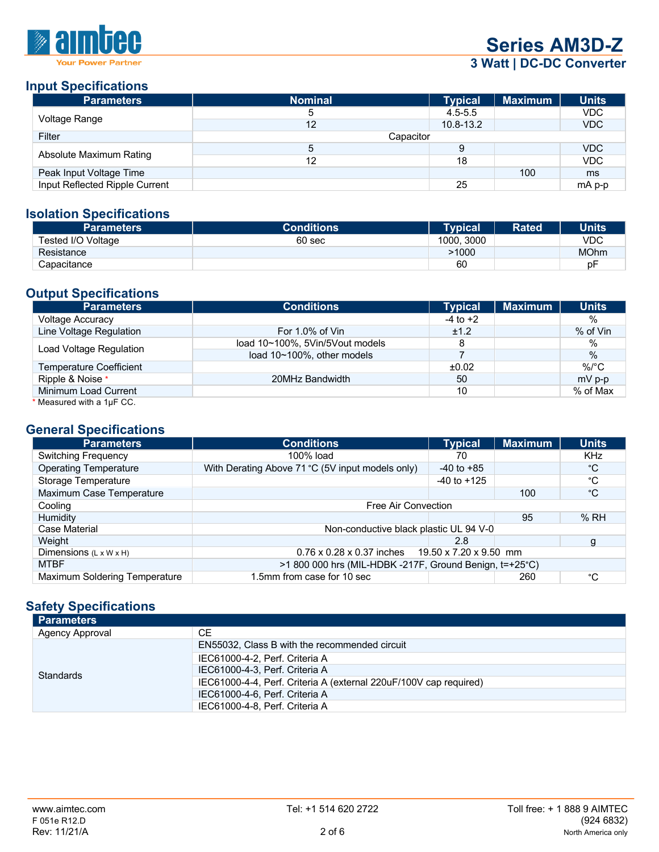

**Series AM3D-Z**

# **3 Watt | DC-DC Converter**

## **Input Specifications**

| <b>Parameters</b>              | <b>Nominal</b> | <b>Typical</b> | <b>Maximum</b> | <b>Units</b> |
|--------------------------------|----------------|----------------|----------------|--------------|
|                                | 5              | $4.5 - 5.5$    |                | VDC          |
| Voltage Range                  | 12             | $10.8 - 13.2$  |                | <b>VDC</b>   |
| Filter                         | Capacitor      |                |                |              |
|                                | 5              | 9              |                | <b>VDC</b>   |
| Absolute Maximum Rating        | 12             | 18             |                | <b>VDC</b>   |
| Peak Input Voltage Time        |                |                | 100            | ms           |
| Input Reflected Ripple Current |                | 25             |                | mA p-p       |

### **Isolation Specifications**

| <b>Parameters</b>  | <b>Conditions</b> | <b>Typical</b> | <b>Rated</b> | <b>Units</b> |
|--------------------|-------------------|----------------|--------------|--------------|
| Tested I/O Voltage | 60 sec            | 3000<br>1000.  |              | VDC          |
| Resistance         |                   | >1000          |              | <b>MOhm</b>  |
| Capacitance        |                   | 60             |              | рF           |

## **Output Specifications**

| Parameters                     | <b>Conditions</b>               | <b>Typical</b> | <b>Maximum</b> | <b>Units</b> |
|--------------------------------|---------------------------------|----------------|----------------|--------------|
| <b>Voltage Accuracy</b>        |                                 | $-4$ to $+2$   |                | %            |
| Line Voltage Regulation        | For 1.0% of Vin                 | ±1.2           |                | $%$ of Vin   |
| Load Voltage Regulation        | load 10~100%, 5Vin/5Vout models | 8              |                | %            |
|                                | load 10~100%, other models      |                |                | $\%$         |
| <b>Temperature Coefficient</b> |                                 | ±0.02          |                | $\%$ /°C     |
| Ripple & Noise *               | 20MHz Bandwidth                 | 50             |                | $mV$ p-p     |
| Minimum Load Current           |                                 | 10             |                | % of Max     |
| * Measured with a 1µF CC.      |                                 |                |                |              |

#### **General Specifications**

| <b>Parameters</b>                  | <b>Conditions</b>                                            | <b>Typical</b>  | <b>Maximum</b> | <b>Units</b> |
|------------------------------------|--------------------------------------------------------------|-----------------|----------------|--------------|
| <b>Switching Frequency</b>         | 100% load                                                    | 70              |                | <b>KHz</b>   |
| <b>Operating Temperature</b>       | With Derating Above 71 °C (5V input models only)             | $-40$ to $+85$  |                | °C           |
| Storage Temperature                |                                                              | $-40$ to $+125$ |                | °C           |
| Maximum Case Temperature           |                                                              |                 | 100            | °C           |
| Cooling                            | Free Air Convection                                          |                 |                |              |
| <b>Humidity</b>                    |                                                              |                 | 95             | %RH          |
| Case Material                      | Non-conductive black plastic UL 94 V-0                       |                 |                |              |
| Weight                             |                                                              | 2.8             |                | g            |
| Dimensions $(L \times W \times H)$ | $0.76 \times 0.28 \times 0.37$ inches 19.50 x 7.20 x 9.50 mm |                 |                |              |
| <b>MTBF</b>                        | >1 800 000 hrs (MIL-HDBK -217F, Ground Benign, t=+25°C)      |                 |                |              |
| Maximum Soldering Temperature      | 1.5mm from case for 10 sec                                   |                 | 260            | °С           |

### **Safety Specifications**

| <b>Parameters</b> |                                                                   |
|-------------------|-------------------------------------------------------------------|
| Agency Approval   | CE.                                                               |
|                   | EN55032, Class B with the recommended circuit                     |
|                   | IEC61000-4-2, Perf. Criteria A                                    |
| Standards         | IEC61000-4-3, Perf. Criteria A                                    |
|                   | IEC61000-4-4, Perf. Criteria A (external 220uF/100V cap required) |
|                   | IEC61000-4-6, Perf. Criteria A                                    |
|                   | IEC61000-4-8, Perf. Criteria A                                    |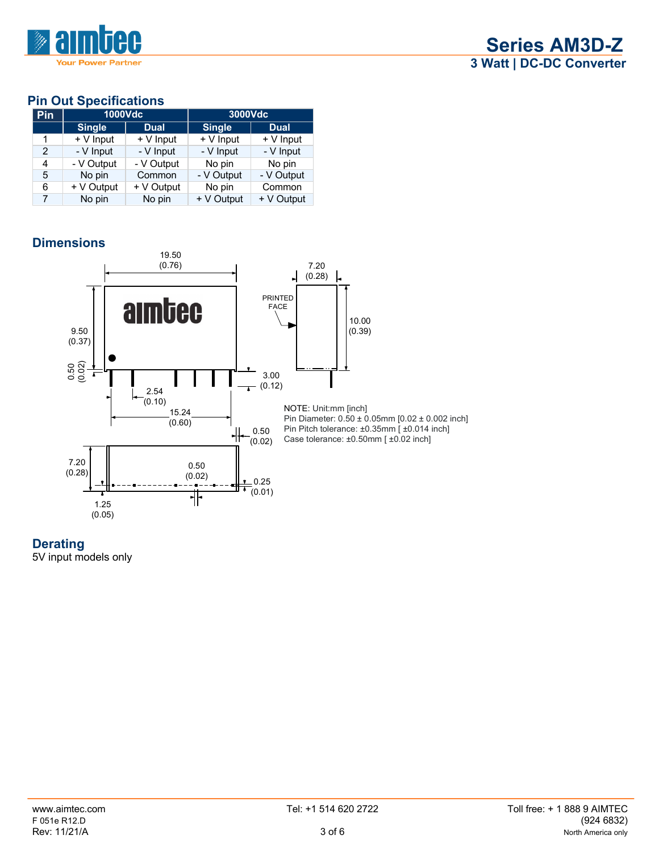

### **Pin Out Specifications**

| Pin            | 1000Vdc       |             | 3000Vdc       |             |
|----------------|---------------|-------------|---------------|-------------|
|                | <b>Single</b> | <b>Dual</b> | <b>Single</b> | <b>Dual</b> |
| 1              | $+V$ Input    | $+V$ Input  | + V Input     | $+V$ Input  |
| $\mathcal{P}$  | - V Input     | - V Input   | - V Input     | - V Input   |
| 4              | - V Output    | - V Output  | No pin        | No pin      |
| 5              | No pin        | Common      | - V Output    | - V Output  |
| 6              | $+$ V Output  | + V Output  | No pin        | Common      |
| $\overline{7}$ | No pin        | No pin      | + V Output    | + V Output  |

# **Dimensions**





5V input models only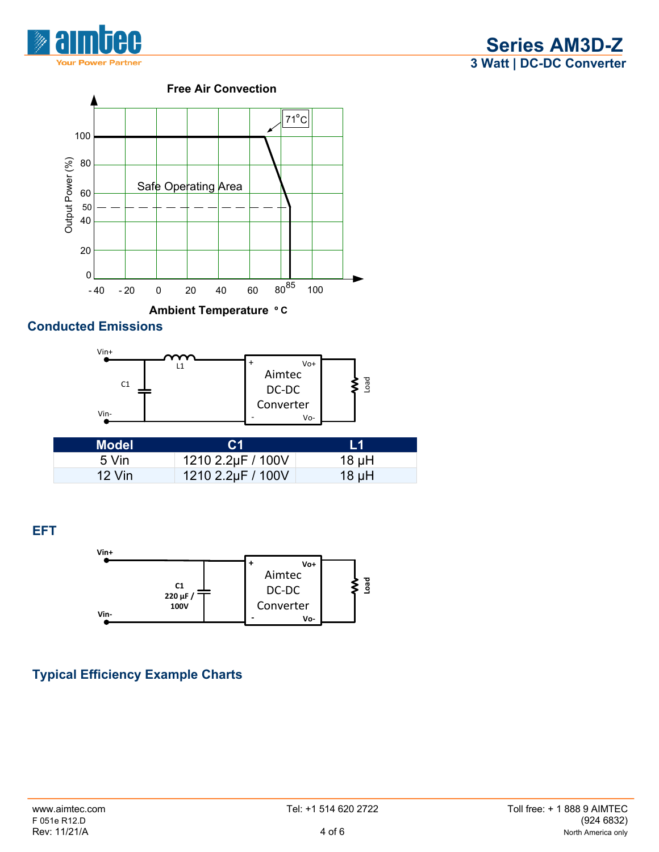



### **Conducted Emissions**



| Model    | C <sub>1</sub>    | l 1        |
|----------|-------------------|------------|
| 5 Vin    | 1210 2.2µF / 100V | 18 $\mu$ H |
| $12$ Vin | 1210 2.2µF / 100V | $18 \mu H$ |

**EFT**



# **Typical Efficiency Example Charts**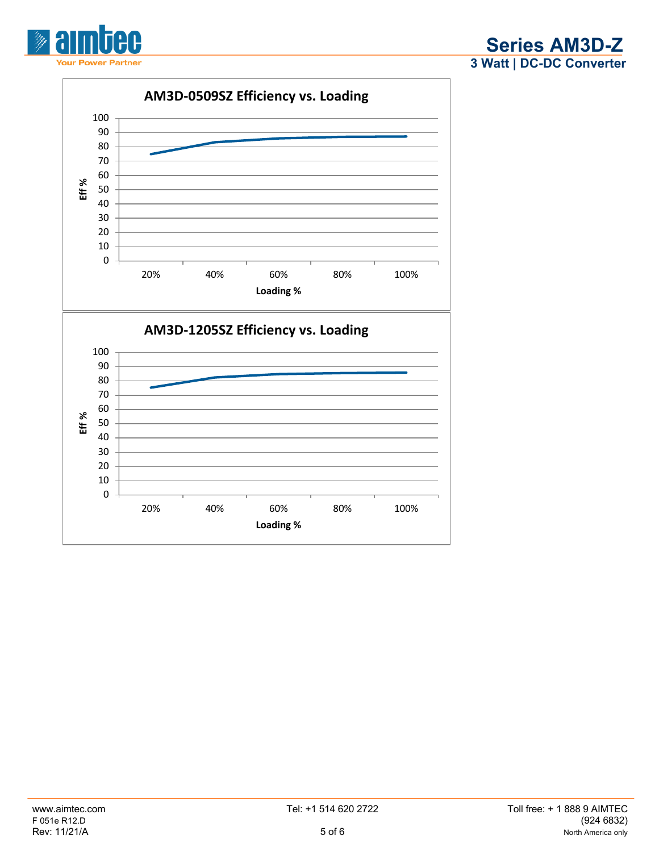